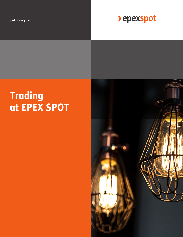part of eex group

> epexspot

# **Trading at EPEX SPOT**

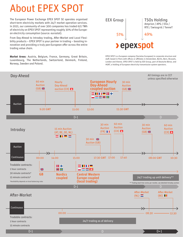# About EPEX SPOT

The European Power Exchange EPEX SPOT SE operates organised<br>
short-term electricity markets with 24/7 market operation services. In 2021, our community of over 300 companies has traded 621 TWh of electricity on EPEX SPOT representing roughly 30% of the European electricity consumption (source: eurostat).

From Day-Ahead to Intraday trading, After-Market and Local Flexibility products – EPEX SPOT is your partner in trading – boosting innovation and providing a truly pan-European offer across the entire trading value chain.

**Market Areas**: Austria, Belgium, France, Germany, Great Britain, Luxembourg, The Netherlands, Switzerland, Denmark, Finland, Norway, Sweden and Poland.



EPEX SPOT is a European company (Societas Europaea) in corporate structure and staff, based in Paris with offices or affiliates in Amsterdam, Berlin, Bern, Brussels, London and Vienna. EPEX SPOT is held by EEX Group, part of Deutsche Börse, and HGRT, a holding of European electricity transmission system operators.

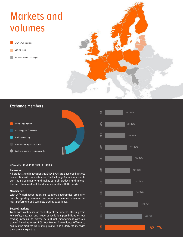# Markets and volumes

EPEX SPOT markets

Coming soon

Serviced Power Exchanges



### Exchange members



### EPEX SPOT is your partner in trading

### **Innovation**

All products and innovations at EPEX SPOT are developed in close cooperation with our customers. The Exchange Council represents our trading community and makes sure all products and innovations are discussed and decided upon jointly with the market.

### **Member first**

With 24/7 market operations call support, geographical proximity, data & reporting services - we are at your service to ensure the most performant and complete trading experience.

### **Secured markets**

Trade with confidence at each step of the process: starting from key safety settings and trade cancellation possibilities on our trading systems; to proven default risk management with our trusted Clearing House, ECC. Our Market Surveillance Office also ensures the markets are running in a fair and orderly manner with their proven expertise.

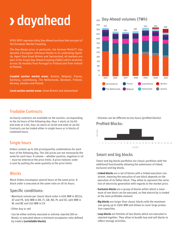# **> dayahead**

EPEX SPOT operates daily Day-Ahead auctions that are part of the European Market Coupling.

The Day-Ahead price, in particular, the German Phelix™, has become a European reference thanks to its underlying liquidity. Apart from Great Britain and Switzerland, all markets are part of the Single Day-Ahead Coupling (SDAC) which stretches across 20 markets from Portugal to Finland and from Ireland to Poland.

**Coupled auction market areas**: Austria, Belgium, France, Germany, Luxembourg, The Netherlands, Denmark, Finland, Norway, Sweden and Poland.

**Local auction market areas**: Great Britain and Switzerland

### <sup>600</sup> Day-Ahead volumes (TWh)



### Tradable Contracts

24 hourly contracts are available on the auction, corresponding to the 24 hours of the following day. Hour 1 starts at 24:00 and ends at 1:00, hour 24 starts at 23:00 and ends at 24:00. Contracts can be traded either in single hours or in blocks of combined hours.

### Single hours

Orders contain up to 256 price/quantity combinations for each hour of the following day. The 256 prices are not necessarily the same for each hour. A volume – whether positive, negative or nil – must be entered at the price limits. A price-inelastic order is sent by putting the same quantity at the price limits.

### **Blocks**

Block Orders encompass several hours at the same price. A block order is executed at the same ratio on all its hours.

### Specific conditions:

- Maximum volume per classic block order is 600 MW in DE/LU, AT and FR, 500 MW in DK, FI, GB, NO, PL and SE, 400 MW in NL and BE and 150 MW in CH
- Either buy or sell
- Can be either entirely executed or entirely rejected (All-or-None); or executed above a minimum acceptance ratio defined by traders **(curtailable blocks)**

- Volumes can be different across hours (profiled blocks):

### Profiled Blocks:



### Smart and big blocks

Smart and big blocks portfolios are classic portfolios with the additional functionality allowing the submission of linked, exclusive and big blocks.

- **Linked blocks** are a set of blocks with a linked execution constraint, meaning the execution of one block depends on the execution of its father block. They allow to represent the variation of electricity generation with regards to the market price.
- **Exclusive blocks** are a group of blocks within which a maximum of one block can be executed, so that electricity is traded at the most profitable moment.
- **Big blocks** are larger than classic blocks with the maximum size going up to 1300 MW and allows to cover large produc tion capacities.
- **Loop blocks** are families of two blocks which are executed or rejected together. They allow to bundle buy and sell blocks to reflect storage activities.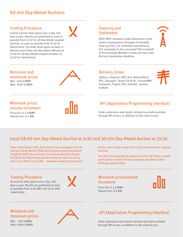### Trading Procedure

A blind auction takes place once a day, 365 Settlement days a year. Results are published as soon as possible from 12:57 for all Day-Ahead coupled markets; as soon as possible from 11:10 for Switzerland. The order book opens 45 days in advance and closes one day before delivery at 12:00 for all Day-Ahead coupled markets, at 11:00 for Switzerland.

Clearing and

EPEX SPOT transmits trade information to the central counterparty, European Commodity Clearing (ECC), for settlement and delivery. ECC nominates to the concerned TSO on behalf of the Exchange Member 4 times per hour until the local nomination deadline.

### Delivery Zones

maximum prices 50Hertz, Amprion, APG, Elia, NationalGrid, RTE, Swissgrid, TenneT DE & NL, TransnetBW, Energinet, Fingrid, PSE, Statnett, Svenska kraftnät

## Minimum price/ volume increment

Min: -500 €/MWh Max: 3000 €/MWh

Minimum and

Price tick: 0.1 €/MWh Volume tick: 0.1 MW



### API (Application Programming Interface)

Order submission and results retrieval are both available through API access, in addition to the client access.

## Local GB 60 min Day-Ahead Auction at 9:20 and 30 min Day-Ahead Auction at 15:30

Since 31 December 2020, Great Britain has decoupled from the Internal Energy Market (IEM) and European Single Day-Ahead Coupling (SDAC) due to Brexit. To accommodate this change, the GB 60 min Day-Ahead auction timing has been moved up from 11:00 GMT to 9:20 GMT – allowing market participants to

### Trading Procedure

An auction takes place once a day, 365 days a year. Results are published as soon as possible from 9:30 GMT and 15:45 GMT respectively.



quickly react to the results of the daily interconnectors capacity auctions.

The GB 30 min Day-Ahead auction at 15:30 GMT allows market participants to trade half hour contracts and offers further arbitrage opportunities.

### Minimum price/volume increment



Price tick: 0.1 £/MWh Volume tick: 0.1 MW

### Minimum and maximum prices

Min: -500 £/MWh Max: 6000 £/MWh



### API (Application Programming Interface)

Order submission and results retrieval are both available through API access, in addition to the client access.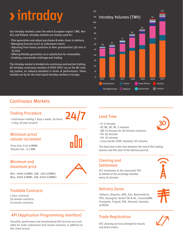# **> intraday**

Our Intraday markets cover the entire European region: CWE, Nordics and Poland. Intraday markets are mainly used for:

- Plan generation and adjust purchases & sales closer to delivery
- Managing forecast errors or unforeseen events
- Adjusting from hourly positions to finer granularities (30 min or 15 min)
- Offering flexible generation as a substitution for renewables
- Enabling cross-border arbitrage and trading

The Intraday market is divided into continuous and auction trading. All Intraday continuous markets of EPEX SPOT run on the M7 trading system, an industry-standard in terms of performance. These markets are by far the most liquid Intraday markets in Europe.



## Continuous Markets

### Trading Procedure

- Continuous trading 7 days a week, 24 hours a day, all year around 24

### Minimum price/ volume increment

Volume tick : 0.1 MW

Price tick: 0.01 €/MWh

### Minimum and maximum price



Min: -9999 €/MWh (GB: -500 £/MWh) Max: 9999 €/MWh (GB: 6000 £/MWh)

### Tradable Contracts

1 hour contracts 30 minute contracts 15 minute contracts

### API (Application Programming Interface)

Versatile, performant and standardized API services are available for order submission and results retrieval, in addition to the client access.

### Lead Time

- FI: 0 minutes
- AT, BE, DE, NL: 5 minutes
- GB: 15 minutes for 30 minutes contracts
- FR: 30 minutes
- CH: 30 minutes
- Cross-border (SIDC markets): 60 minutes

The lead time is the time between the end of the trading session and the start of the delivery period.

### Clearing and **Settlement**

ECC nominates to the concerned TSO on behalf of the exchange member every 15 minutes.

### Delivery Zones

50Hertz, Amprion, APG, Elia, NationalGrid, RTE, Swissgrid, TenneT DE & NL, TransnetBW, Energinet, Fingrid, PSE, Statnett, Svenska kraftnät

### Trade Registration



OTC clearing services allowed for hourly and block orders.

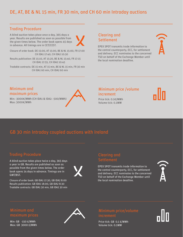## DE, AT, BE & NL 15 min, FR 30 min, and CH 60 min Intraday auctions

### Trading Procedure

A blind auction takes place once a day, 365 days a year. Results are published as soon as possible from the given times below. The order book opens 45 days in advance. All timings are in CET/CEST.



Closure of order book: DE 15:00, AT 15:00, BE & NL 15:00, FR 17:00 CH IDA1 17:40, CH IDA2 10:30

Results publication: DE 15:10, AT 15:20, BE & NL 15:40, FR 17:15 CH IDA1 17:55, CH IDA2 10:45

Tradable contracts: DE 15 min, AT 15 min, BE & NL 15 min, FR 30 min CH IDA1 60 min, CH IDA2 60 min

### Clearing and **Settlement**

EPEX SPOT transmits trade information to the central counterparty, ECC, for settlement and delivery. ECC nominates to the concerned TSO on behalf of the Exchange Member until the local nomination deadline.

### Minimum and maximum prices

Min: -3000€/MWh (CH IDA1 & IDA2: -500/MWh) Max: 3000€/MWh



### Minimum price /volume increment

Price tick: 0.1€/MWh Volume tick: 0.1MW

## GB 30 min Intraday coupled auctions with Ireland

A blind auction takes place twice a day, 365 days a year in GB. Results are published as soon as possible from the given times below. The order book opens 14 days in advance. Timings are in GMT/BST.

Closure of order book: GB IDA1 17:30, GB IDA2 8:00 Results publication: GB IDA1 18:00, GB IDA2 8:30 Tradable contracts: GB IDA1 30 min, GB IDA2 30 min

## Settlement

EPEX SPOT transmits trade information to the central counterparty, ECC, for settlement and delivery. ECC nominates to the concerned TSO on behalf of the Exchange Member until the local nomination deadline.



Min: GB -150 £/MWh Max: GB 3000 £/MWh



Price tick: GB 0.1 £/MWh Volume tick: 0.1MW